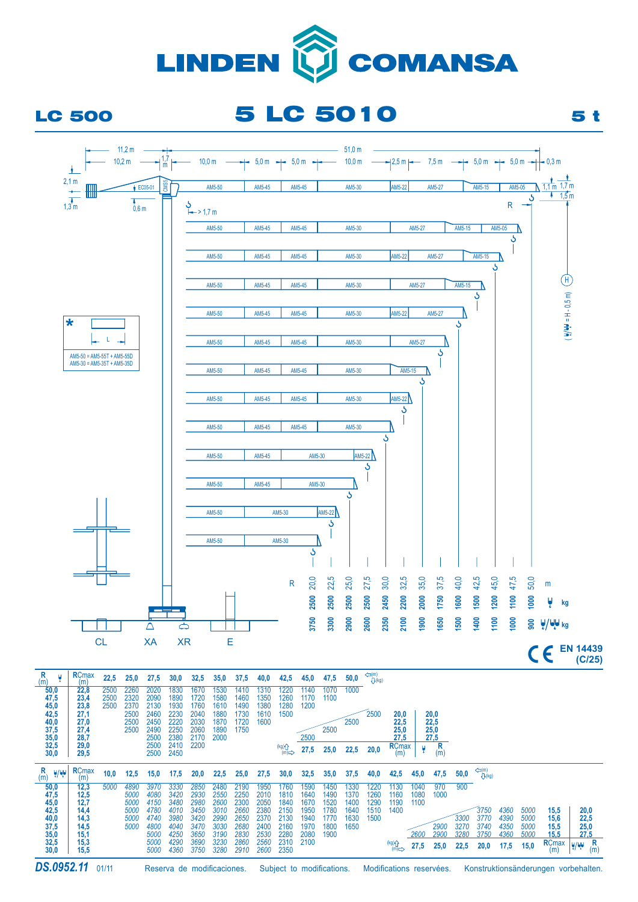

## LC 500 5 LC 5010 5 t